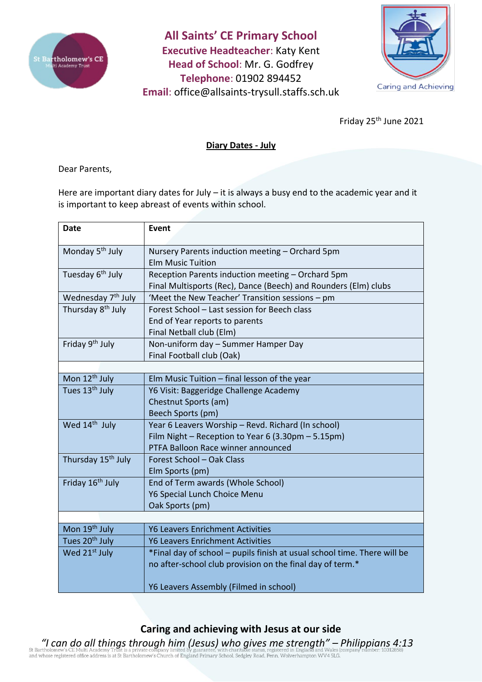

**All Saints' CE Primary School Executive Headteacher**: Katy Kent **Head of School**: Mr. G. Godfrey **Telephone**: 01902 894452 **Email**: [office@allsaints-trysull.staffs.sch.uk](mailto:office@allsaints-trysull.staffs.sch.uk)



Friday 25th June 2021

## **Diary Dates - July**

Dear Parents,

Here are important diary dates for July – it is always a busy end to the academic year and it is important to keep abreast of events within school.

| <b>Date</b>                    | <b>Event</b>                                                             |
|--------------------------------|--------------------------------------------------------------------------|
|                                |                                                                          |
| Monday 5 <sup>th</sup> July    | Nursery Parents induction meeting - Orchard 5pm                          |
|                                | <b>Elm Music Tuition</b>                                                 |
| Tuesday 6 <sup>th</sup> July   | Reception Parents induction meeting - Orchard 5pm                        |
|                                | Final Multisports (Rec), Dance (Beech) and Rounders (Elm) clubs          |
| Wednesday 7 <sup>th</sup> July | 'Meet the New Teacher' Transition sessions - pm                          |
| Thursday 8 <sup>th</sup> July  | Forest School - Last session for Beech class                             |
|                                | End of Year reports to parents                                           |
|                                | Final Netball club (Elm)                                                 |
| Friday 9 <sup>th</sup> July    | Non-uniform day - Summer Hamper Day                                      |
|                                | Final Football club (Oak)                                                |
|                                |                                                                          |
| Mon 12 <sup>th</sup> July      | Elm Music Tuition - final lesson of the year                             |
| Tues 13 <sup>th</sup> July     | Y6 Visit: Baggeridge Challenge Academy                                   |
|                                | Chestnut Sports (am)                                                     |
|                                | Beech Sports (pm)                                                        |
| Wed 14 <sup>th</sup> July      | Year 6 Leavers Worship - Revd. Richard (In school)                       |
|                                | Film Night - Reception to Year 6 (3.30pm - 5.15pm)                       |
|                                | PTFA Balloon Race winner announced                                       |
| Thursday 15 <sup>th</sup> July | Forest School - Oak Class                                                |
|                                | Elm Sports (pm)                                                          |
| Friday 16 <sup>th</sup> July   | End of Term awards (Whole School)                                        |
|                                | Y6 Special Lunch Choice Menu                                             |
|                                | Oak Sports (pm)                                                          |
|                                |                                                                          |
| Mon 19 <sup>th</sup> July      | <b>Y6 Leavers Enrichment Activities</b>                                  |
| Tues 20 <sup>th</sup> July     | <b>Y6 Leavers Enrichment Activities</b>                                  |
| Wed 21 <sup>st</sup> July      | *Final day of school - pupils finish at usual school time. There will be |
|                                | no after-school club provision on the final day of term.*                |
|                                |                                                                          |
|                                | Y6 Leavers Assembly (Filmed in school)                                   |

## **Caring and achieving with Jesus at our side**

*"I can do all things through him (Jesus) who gives me strength" – Philippians 4:13*<br>
St Bartholomew's CE Multi Academy Trust is a private company limited by guarantee, with charitable status, registered in England and Wal